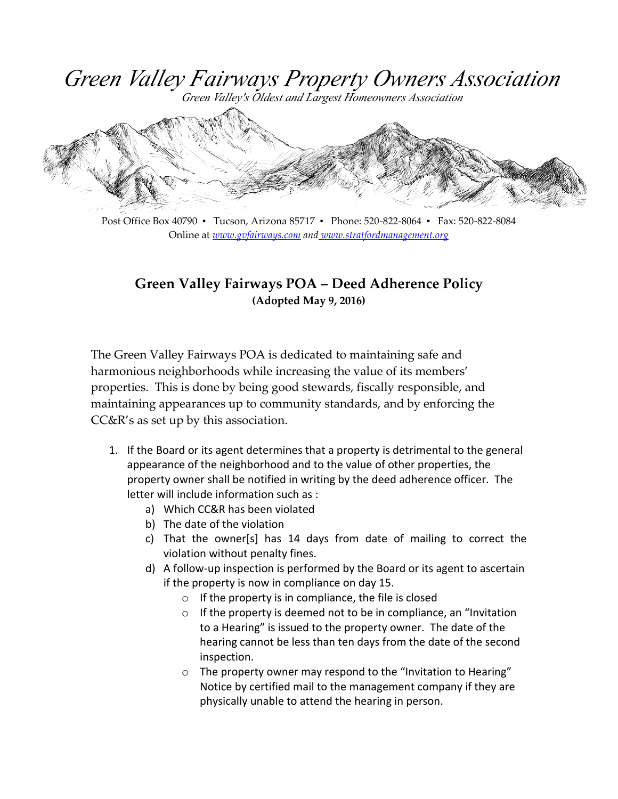Green Valley Fairways Property Owners Association

Green Valley's Oldest and Largest Homeowners Association



Post Office Box 40790 ▪ Tucson, Arizona 85717 ▪ Phone: 520-822-8064 ▪ Fax: 520-822-8084 Online at *[www.gvfairways.com](http://www.gvfairways.com/) and [www.stratfordmanagement.org](http://www.stratfordmanagement.org/)*

## **Green Valley Fairways POA – Deed Adherence Policy (Adopted May 9, 2016)**

The Green Valley Fairways POA is dedicated to maintaining safe and harmonious neighborhoods while increasing the value of its members' properties. This is done by being good stewards, fiscally responsible, and maintaining appearances up to community standards, and by enforcing the CC&R's as set up by this association.

- 1. If the Board or its agent determines that a property is detrimental to the general appearance of the neighborhood and to the value of other properties, the property owner shall be notified in writing by the deed adherence officer. The letter will include information such as :
	- a) Which CC&R has been violated
	- b) The date of the violation
	- c) That the owner[s] has 14 days from date of mailing to correct the violation without penalty fines.
	- d) A follow-up inspection is performed by the Board or its agent to ascertain if the property is now in compliance on day 15.
		- o If the property is in compliance, the file is closed
		- o If the property is deemed not to be in compliance, an "Invitation to a Hearing" is issued to the property owner. The date of the hearing cannot be less than ten days from the date of the second inspection.
		- o The property owner may respond to the "Invitation to Hearing" Notice by certified mail to the management company if they are physically unable to attend the hearing in person.